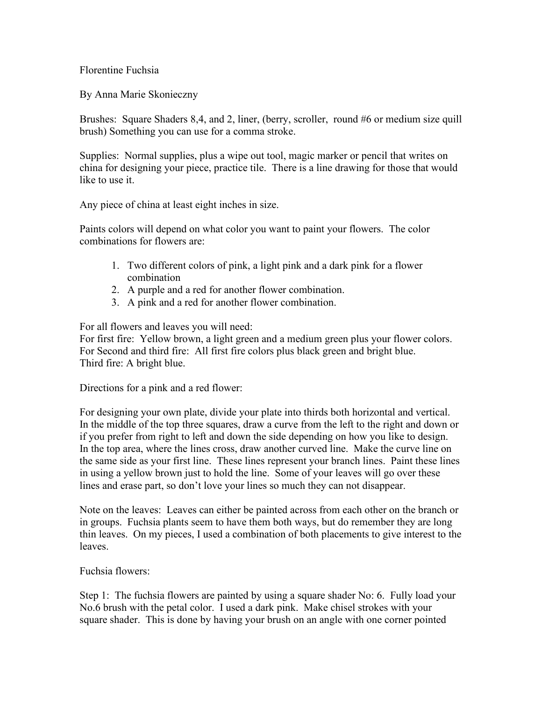Florentine Fuchsia

By Anna Marie Skonieczny

Brushes: Square Shaders 8,4, and 2, liner, (berry, scroller, round #6 or medium size quill brush) Something you can use for a comma stroke.

Supplies: Normal supplies, plus a wipe out tool, magic marker or pencil that writes on china for designing your piece, practice tile. There is a line drawing for those that would like to use it.

Any piece of china at least eight inches in size.

Paints colors will depend on what color you want to paint your flowers. The color combinations for flowers are:

- 1. Two different colors of pink, a light pink and a dark pink for a flower combination
- 2. A purple and a red for another flower combination.
- 3. A pink and a red for another flower combination.

For all flowers and leaves you will need:

For first fire: Yellow brown, a light green and a medium green plus your flower colors. For Second and third fire: All first fire colors plus black green and bright blue. Third fire: A bright blue.

Directions for a pink and a red flower:

For designing your own plate, divide your plate into thirds both horizontal and vertical. In the middle of the top three squares, draw a curve from the left to the right and down or if you prefer from right to left and down the side depending on how you like to design. In the top area, where the lines cross, draw another curved line. Make the curve line on the same side as your first line. These lines represent your branch lines. Paint these lines in using a yellow brown just to hold the line. Some of your leaves will go over these lines and erase part, so don't love your lines so much they can not disappear.

Note on the leaves: Leaves can either be painted across from each other on the branch or in groups. Fuchsia plants seem to have them both ways, but do remember they are long thin leaves. On my pieces, I used a combination of both placements to give interest to the leaves.

Fuchsia flowers:

Step 1: The fuchsia flowers are painted by using a square shader No: 6. Fully load your No.6 brush with the petal color. I used a dark pink. Make chisel strokes with your square shader. This is done by having your brush on an angle with one corner pointed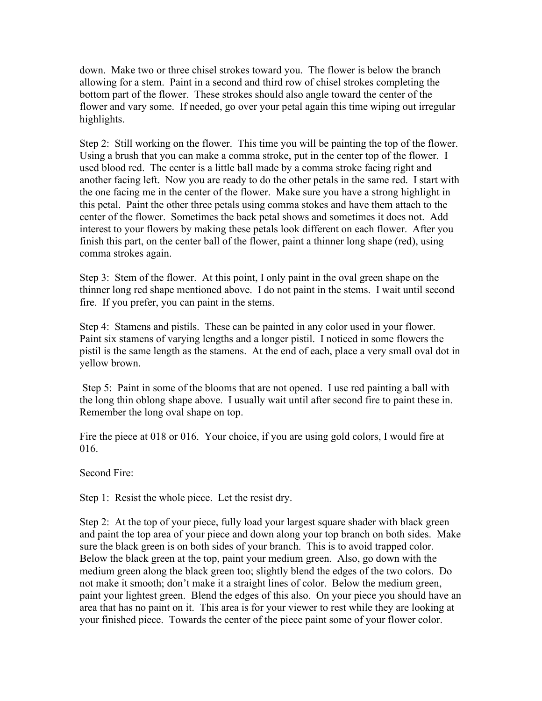down. Make two or three chisel strokes toward you. The flower is below the branch allowing for a stem. Paint in a second and third row of chisel strokes completing the bottom part of the flower. These strokes should also angle toward the center of the flower and vary some. If needed, go over your petal again this time wiping out irregular highlights.

Step 2: Still working on the flower. This time you will be painting the top of the flower. Using a brush that you can make a comma stroke, put in the center top of the flower. I used blood red. The center is a little ball made by a comma stroke facing right and another facing left. Now you are ready to do the other petals in the same red. I start with the one facing me in the center of the flower. Make sure you have a strong highlight in this petal. Paint the other three petals using comma stokes and have them attach to the center of the flower. Sometimes the back petal shows and sometimes it does not. Add interest to your flowers by making these petals look different on each flower. After you finish this part, on the center ball of the flower, paint a thinner long shape (red), using comma strokes again.

Step 3: Stem of the flower. At this point, I only paint in the oval green shape on the thinner long red shape mentioned above. I do not paint in the stems. I wait until second fire. If you prefer, you can paint in the stems.

Step 4: Stamens and pistils. These can be painted in any color used in your flower. Paint six stamens of varying lengths and a longer pistil. I noticed in some flowers the pistil is the same length as the stamens. At the end of each, place a very small oval dot in yellow brown.

Step 5: Paint in some of the blooms that are not opened. I use red painting a ball with the long thin oblong shape above. I usually wait until after second fire to paint these in. Remember the long oval shape on top.

Fire the piece at 018 or 016. Your choice, if you are using gold colors, I would fire at 016.

Second Fire:

Step 1: Resist the whole piece. Let the resist dry.

Step 2: At the top of your piece, fully load your largest square shader with black green and paint the top area of your piece and down along your top branch on both sides. Make sure the black green is on both sides of your branch. This is to avoid trapped color. Below the black green at the top, paint your medium green. Also, go down with the medium green along the black green too; slightly blend the edges of the two colors. Do not make it smooth; don't make it a straight lines of color. Below the medium green, paint your lightest green. Blend the edges of this also. On your piece you should have an area that has no paint on it. This area is for your viewer to rest while they are looking at your finished piece. Towards the center of the piece paint some of your flower color.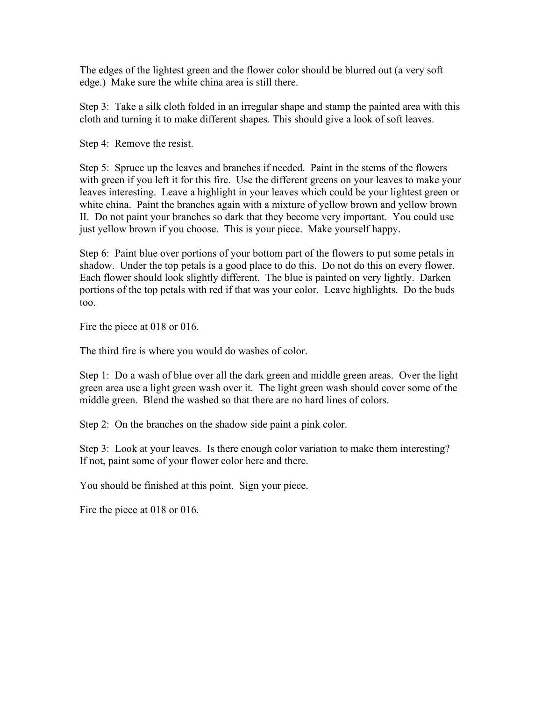The edges of the lightest green and the flower color should be blurred out (a very soft edge.) Make sure the white china area is still there.

Step 3: Take a silk cloth folded in an irregular shape and stamp the painted area with this cloth and turning it to make different shapes. This should give a look of soft leaves.

Step 4: Remove the resist.

Step 5: Spruce up the leaves and branches if needed. Paint in the stems of the flowers with green if you left it for this fire. Use the different greens on your leaves to make your leaves interesting. Leave a highlight in your leaves which could be your lightest green or white china. Paint the branches again with a mixture of yellow brown and yellow brown II. Do not paint your branches so dark that they become very important. You could use just yellow brown if you choose. This is your piece. Make yourself happy.

Step 6: Paint blue over portions of your bottom part of the flowers to put some petals in shadow. Under the top petals is a good place to do this. Do not do this on every flower. Each flower should look slightly different. The blue is painted on very lightly. Darken portions of the top petals with red if that was your color. Leave highlights. Do the buds too.

Fire the piece at 018 or 016.

The third fire is where you would do washes of color.

Step 1: Do a wash of blue over all the dark green and middle green areas. Over the light green area use a light green wash over it. The light green wash should cover some of the middle green. Blend the washed so that there are no hard lines of colors.

Step 2: On the branches on the shadow side paint a pink color.

Step 3: Look at your leaves. Is there enough color variation to make them interesting? If not, paint some of your flower color here and there.

You should be finished at this point. Sign your piece.

Fire the piece at 018 or 016.